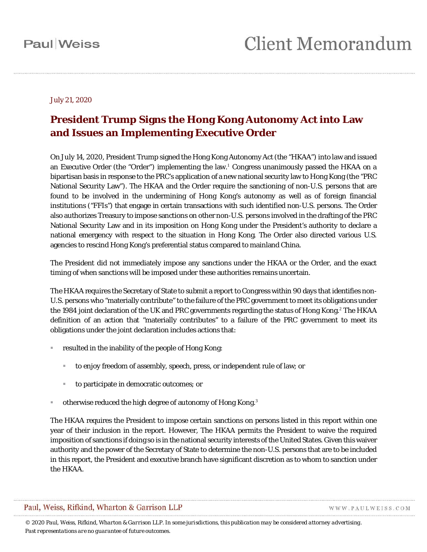#### July 21, 2020

### **President Trump Signs the Hong Kong Autonomy Act into Law and Issues an Implementing Executive Order**

On July 14, 2020, President Trump signed the Hong Kong Autonomy Act (the "HKAA") into law and issued an Executive Order (the "Order") implementing the law.<sup>[1](#page-4-0)</sup> Congress unanimously passed the HKAA on a bipartisan basis in response to the PRC's application of a new national security law to Hong Kong (the "PRC National Security Law"). The HKAA and the Order require the sanctioning of non-U.S. persons that are found to be involved in the undermining of Hong Kong's autonomy as well as of foreign financial institutions ("FFIs") that engage in certain transactions with such identified non-U.S. persons. The Order also authorizes Treasury to impose sanctions on other non-U.S. persons involved in the drafting of the PRC National Security Law and in its imposition on Hong Kong under the President's authority to declare a national emergency with respect to the situation in Hong Kong. The Order also directed various U.S. agencies to rescind Hong Kong's preferential status compared to mainland China.

The President did not immediately impose any sanctions under the HKAA or the Order, and the exact timing of when sanctions will be imposed under these authorities remains uncertain.

The HKAA requires the Secretary of State to submit a report to Congress within 90 days that identifies non-U.S. persons who "materially contribute" to the failure of the PRC government to meet its obligations under the 1984 joint declaration of the UK and PRC governments regarding the status of Hong Kong.<sup>[2](#page-4-1)</sup> The HKAA definition of an action that "materially contributes" to a failure of the PRC government to meet its obligations under the joint declaration includes actions that:

- resulted in the inability of the people of Hong Kong:
	- to enjoy freedom of assembly, speech, press, or independent rule of law; or
	- to participate in democratic outcomes; or
- **otherwise reduced the high degree of autonomy of Hong Kong.**[3](#page-4-2)

The HKAA requires the President to impose certain sanctions on persons listed in this report within one year of their inclusion in the report. However, The HKAA permits the President to waive the required imposition of sanctions if doing so is in the national security interests of the United States. Given this waiver authority and the power of the Secretary of State to determine the non-U.S. persons that are to be included in this report, the President and executive branch have significant discretion as to whom to sanction under the HKAA.

#### Paul, Weiss, Rifkind, Wharton & Garrison LLP

WWW.PAULWEISS.COM

*© 2020 Paul, Weiss, Rifkind, Wharton & Garrison LLP. In some jurisdictions, this publication may be considered attorney advertising. Past representations are no guarantee of future outcomes.*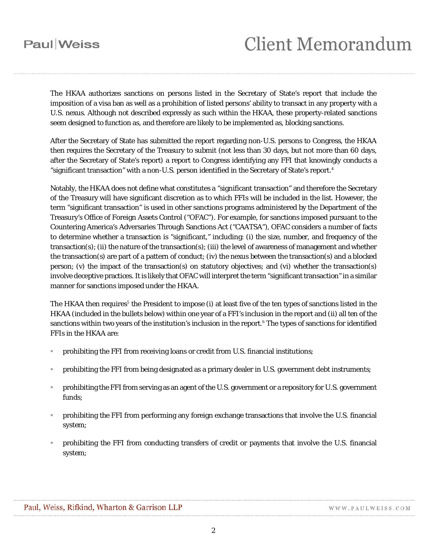# **Client Memorandum**

The HKAA authorizes sanctions on persons listed in the Secretary of State's report that include the imposition of a visa ban as well as a prohibition of listed persons' ability to transact in any property with a U.S. nexus. Although not described expressly as such within the HKAA, these property-related sanctions seem designed to function as, and therefore are likely to be implemented as, blocking sanctions.

After the Secretary of State has submitted the report regarding non-U.S. persons to Congress, the HKAA then requires the Secretary of the Treasury to submit (not less than 30 days, but not more than 60 days, after the Secretary of State's report) a report to Congress identifying any FFI that knowingly conducts a "significant transaction" with a non-U.S. person identified in the Secretary of State's report.<sup>[4](#page-4-3)</sup>

Notably, the HKAA does not define what constitutes a "significant transaction" and therefore the Secretary of the Treasury will have significant discretion as to which FFIs will be included in the list. However, the term "significant transaction" is used in other sanctions programs administered by the Department of the Treasury's Office of Foreign Assets Control ("OFAC"). For example, for sanctions imposed pursuant to the Countering America's Adversaries Through Sanctions Act ("CAATSA"), OFAC considers a number of facts to determine whether a transaction is "significant," including: (i) the size, number, and frequency of the transaction(s); (ii) the nature of the transaction(s); (iii) the level of awareness of management and whether the transaction(s) are part of a pattern of conduct; (iv) the nexus between the transaction(s) and a blocked person; (v) the impact of the transaction(s) on statutory objectives; and (vi) whether the transaction(s) involve deceptive practices. It is likely that OFAC will interpret the term "significant transaction" in a similar manner for sanctions imposed under the HKAA.

The HKAA then requires<sup>[5](#page-4-4)</sup> the President to impose (i) at least five of the ten types of sanctions listed in the HKAA (included in the bullets below) within one year of a FFI's inclusion in the report and (ii) all ten of the sanctions within two years of the institution's inclusion in the report.<sup>[6](#page-4-5)</sup> The types of sanctions for identified FFIs in the HKAA are:

- prohibiting the FFI from receiving loans or credit from U.S. financial institutions;
- prohibiting the FFI from being designated as a primary dealer in U.S. government debt instruments;
- prohibiting the FFI from serving as an agent of the U.S. government or a repository for U.S. government funds;
- prohibiting the FFI from performing any foreign exchange transactions that involve the U.S. financial system;
- prohibiting the FFI from conducting transfers of credit or payments that involve the U.S. financial system;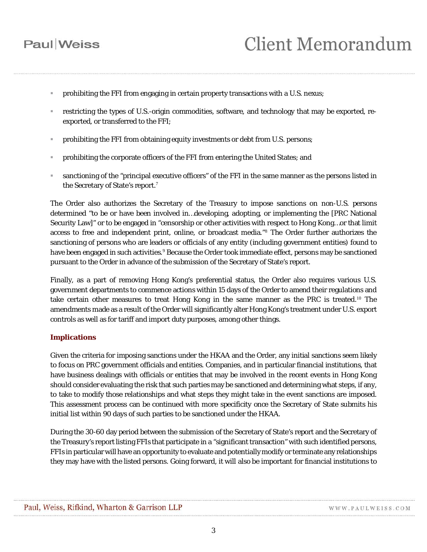- prohibiting the FFI from engaging in certain property transactions with a U.S. nexus;
- restricting the types of U.S.-origin commodities, software, and technology that may be exported, reexported, or transferred to the FFI;
- prohibiting the FFI from obtaining equity investments or debt from U.S. persons;
- prohibiting the corporate officers of the FFI from entering the United States; and
- sanctioning of the "principal executive officers" of the FFI in the same manner as the persons listed in the Secretary of State's report.[7](#page-4-6)

The Order also authorizes the Secretary of the Treasury to impose sanctions on non-U.S. persons determined "to be or have been involved in…developing, adopting, or implementing the [PRC National Security Law]" or to be engaged in "censorship or other activities with respect to Hong Kong…or that limit access to free and independent print, online, or broadcast media."[8](#page-4-7) The Order further authorizes the sanctioning of persons who are leaders or officials of any entity (including government entities) found to have been engaged in such activities.<sup>[9](#page-4-8)</sup> Because the Order took immediate effect, persons may be sanctioned pursuant to the Order in advance of the submission of the Secretary of State's report.

Finally, as a part of removing Hong Kong's preferential status, the Order also requires various U.S. government departments to commence actions within 15 days of the Order to amend their regulations and take certain other measures to treat Hong Kong in the same manner as the PRC is treated.[10](#page-4-9) The amendments made as a result of the Order will significantly alter Hong Kong's treatment under U.S. export controls as well as for tariff and import duty purposes, among other things.

#### **Implications**

Given the criteria for imposing sanctions under the HKAA and the Order, any initial sanctions seem likely to focus on PRC government officials and entities. Companies, and in particular financial institutions, that have business dealings with officials or entities that may be involved in the recent events in Hong Kong should consider evaluating the risk that such parties may be sanctioned and determining what steps, if any, to take to modify those relationships and what steps they might take in the event sanctions are imposed. This assessment process can be continued with more specificity once the Secretary of State submits his initial list within 90 days of such parties to be sanctioned under the HKAA.

During the 30-60 day period between the submission of the Secretary of State's report and the Secretary of the Treasury's report listing FFIs that participate in a "significant transaction" with such identified persons, FFIs in particular will have an opportunity to evaluate and potentially modify or terminate any relationships they may have with the listed persons. Going forward, it will also be important for financial institutions to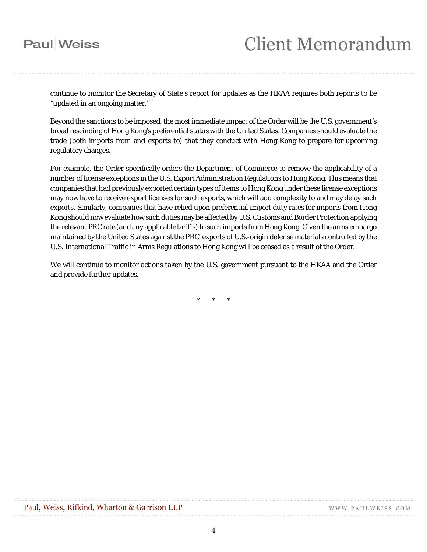continue to monitor the Secretary of State's report for updates as the HKAA requires both reports to be "updated in an ongoing matter."<sup>[11](#page-4-10)</sup>

Beyond the sanctions to be imposed, the most immediate impact of the Order will be the U.S. government's broad rescinding of Hong Kong's preferential status with the United States. Companies should evaluate the trade (both imports from and exports to) that they conduct with Hong Kong to prepare for upcoming regulatory changes.

For example, the Order specifically orders the Department of Commerce to remove the applicability of a number of license exceptions in the U.S. Export Administration Regulations to Hong Kong. This means that companies that had previously exported certain types of items to Hong Kong under these license exceptions may now have to receive export licenses for such exports, which will add complexity to and may delay such exports. Similarly, companies that have relied upon preferential import duty rates for imports from Hong Kong should now evaluate how such duties may be affected by U.S. Customs and Border Protection applying the relevant PRC rate (and any applicable tariffs) to such imports from Hong Kong. Given the arms embargo maintained by the United States against the PRC, exports of U.S.-origin defense materials controlled by the U.S. International Traffic in Arms Regulations to Hong Kong will be ceased as a result of the Order.

We will continue to monitor actions taken by the U.S. government pursuant to the HKAA and the Order and provide further updates.

\* \* \*